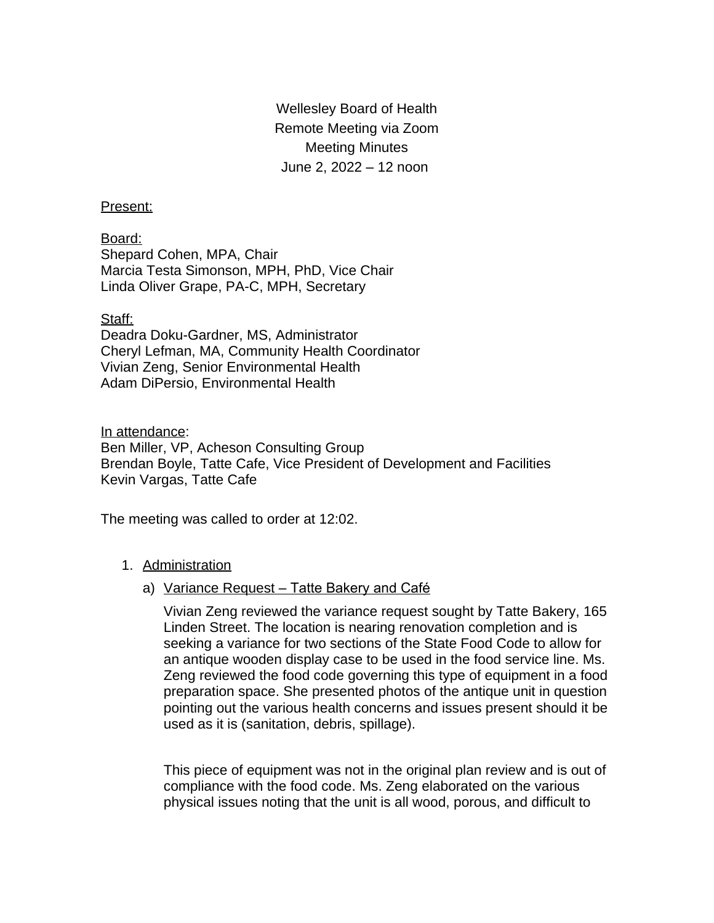Wellesley Board of Health Remote Meeting via Zoom Meeting Minutes June 2, 2022 – 12 noon

## Present:

Board: Shepard Cohen, MPA, Chair Marcia Testa Simonson, MPH, PhD, Vice Chair Linda Oliver Grape, PA-C, MPH, Secretary

## Staff:

Deadra Doku-Gardner, MS, Administrator Cheryl Lefman, MA, Community Health Coordinator Vivian Zeng, Senior Environmental Health Adam DiPersio, Environmental Health

In attendance:

Ben Miller, VP, Acheson Consulting Group Brendan Boyle, Tatte Cafe, Vice President of Development and Facilities Kevin Vargas, Tatte Cafe

The meeting was called to order at 12:02.

## 1. Administration

## a) Variance Request – Tatte Bakery and Café

Vivian Zeng reviewed the variance request sought by Tatte Bakery, 165 Linden Street. The location is nearing renovation completion and is seeking a variance for two sections of the State Food Code to allow for an antique wooden display case to be used in the food service line. Ms. Zeng reviewed the food code governing this type of equipment in a food preparation space. She presented photos of the antique unit in question pointing out the various health concerns and issues present should it be used as it is (sanitation, debris, spillage).

This piece of equipment was not in the original plan review and is out of compliance with the food code. Ms. Zeng elaborated on the various physical issues noting that the unit is all wood, porous, and difficult to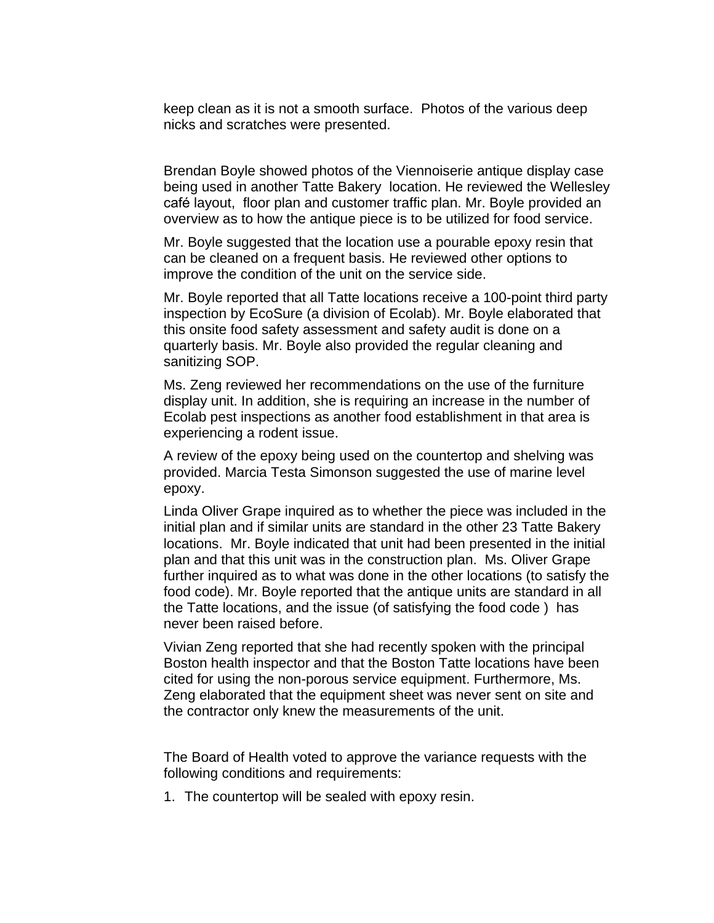keep clean as it is not a smooth surface. Photos of the various deep nicks and scratches were presented.

Brendan Boyle showed photos of the Viennoiserie antique display case being used in another Tatte Bakery location. He reviewed the Wellesley café layout, floor plan and customer traffic plan. Mr. Boyle provided an overview as to how the antique piece is to be utilized for food service.

Mr. Boyle suggested that the location use a pourable epoxy resin that can be cleaned on a frequent basis. He reviewed other options to improve the condition of the unit on the service side.

Mr. Boyle reported that all Tatte locations receive a 100-point third party inspection by EcoSure (a division of Ecolab). Mr. Boyle elaborated that this onsite food safety assessment and safety audit is done on a quarterly basis. Mr. Boyle also provided the regular cleaning and sanitizing SOP.

Ms. Zeng reviewed her recommendations on the use of the furniture display unit. In addition, she is requiring an increase in the number of Ecolab pest inspections as another food establishment in that area is experiencing a rodent issue.

A review of the epoxy being used on the countertop and shelving was provided. Marcia Testa Simonson suggested the use of marine level epoxy.

Linda Oliver Grape inquired as to whether the piece was included in the initial plan and if similar units are standard in the other 23 Tatte Bakery locations. Mr. Boyle indicated that unit had been presented in the initial plan and that this unit was in the construction plan. Ms. Oliver Grape further inquired as to what was done in the other locations (to satisfy the food code). Mr. Boyle reported that the antique units are standard in all the Tatte locations, and the issue (of satisfying the food code ) has never been raised before.

Vivian Zeng reported that she had recently spoken with the principal Boston health inspector and that the Boston Tatte locations have been cited for using the non-porous service equipment. Furthermore, Ms. Zeng elaborated that the equipment sheet was never sent on site and the contractor only knew the measurements of the unit.

The Board of Health voted to approve the variance requests with the following conditions and requirements:

1. The countertop will be sealed with epoxy resin.